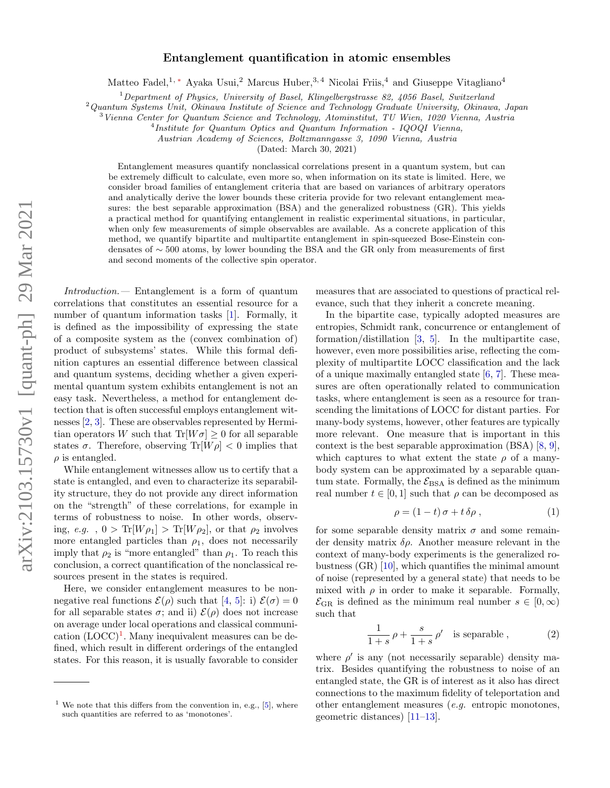## arXiv:2103.15730v1 [quant-ph] 29 Mar 2021 arXiv:2103.15730v1 [quant-ph] 29 Mar 2021

## Entanglement quantification in atomic ensembles

Matteo Fadel,<sup>1,\*</sup> Ayaka Usui,<sup>2</sup> Marcus Huber,<sup>3,4</sup> Nicolai Friis,<sup>4</sup> and Giuseppe Vitagliano<sup>4</sup>

<sup>1</sup>Department of Physics, University of Basel, Klingelbergstrasse 82, 4056 Basel, Switzerland

 $2$ Quantum Systems Unit, Okinawa Institute of Science and Technology Graduate University, Okinawa, Japan

 $3$ Vienna Center for Quantum Science and Technology, Atominstitut, TU Wien, 1020 Vienna, Austria

<sup>4</sup>Institute for Quantum Optics and Quantum Information - IQOQI Vienna,

Austrian Academy of Sciences, Boltzmanngasse 3, 1090 Vienna, Austria

(Dated: March 30, 2021)

Entanglement measures quantify nonclassical correlations present in a quantum system, but can be extremely difficult to calculate, even more so, when information on its state is limited. Here, we consider broad families of entanglement criteria that are based on variances of arbitrary operators and analytically derive the lower bounds these criteria provide for two relevant entanglement measures: the best separable approximation (BSA) and the generalized robustness (GR). This yields a practical method for quantifying entanglement in realistic experimental situations, in particular, when only few measurements of simple observables are available. As a concrete application of this method, we quantify bipartite and multipartite entanglement in spin-squeezed Bose-Einstein condensates of ∼ 500 atoms, by lower bounding the BSA and the GR only from measurements of first and second moments of the collective spin operator.

Introduction.— Entanglement is a form of quantum correlations that constitutes an essential resource for a number of quantum information tasks [\[1\]](#page-5-1). Formally, it is defined as the impossibility of expressing the state of a composite system as the (convex combination of) product of subsystems' states. While this formal definition captures an essential difference between classical and quantum systems, deciding whether a given experimental quantum system exhibits entanglement is not an easy task. Nevertheless, a method for entanglement detection that is often successful employs entanglement witnesses [\[2,](#page-5-2) [3\]](#page-5-3). These are observables represented by Hermitian operators W such that  $Tr[W\sigma] > 0$  for all separable states  $\sigma$ . Therefore, observing Tr[ $W\rho$ ] < 0 implies that  $\rho$  is entangled.

While entanglement witnesses allow us to certify that a state is entangled, and even to characterize its separability structure, they do not provide any direct information on the "strength" of these correlations, for example in terms of robustness to noise. In other words, observing, e.g.,  $0 > \text{Tr}[W\rho_1] > \text{Tr}[W\rho_2]$ , or that  $\rho_2$  involves more entangled particles than  $\rho_1$ , does not necessarily imply that  $\rho_2$  is "more entangled" than  $\rho_1$ . To reach this conclusion, a correct quantification of the nonclassical resources present in the states is required.

Here, we consider entanglement measures to be nonnegative real functions  $\mathcal{E}(\rho)$  such that [\[4,](#page-5-4) [5\]](#page-5-5): i)  $\mathcal{E}(\sigma) = 0$ for all separable states  $\sigma$ ; and ii)  $\mathcal{E}(\rho)$  does not increase on average under local operations and classical communi- $\text{cation } (LOCC)^{1}$  $\text{cation } (LOCC)^{1}$  $\text{cation } (LOCC)^{1}$ . Many inequivalent measures can be defined, which result in different orderings of the entangled states. For this reason, it is usually favorable to consider

measures that are associated to questions of practical relevance, such that they inherit a concrete meaning.

In the bipartite case, typically adopted measures are entropies, Schmidt rank, concurrence or entanglement of formation/distillation [\[3,](#page-5-3) [5\]](#page-5-5). In the multipartite case, however, even more possibilities arise, reflecting the complexity of multipartite LOCC classification and the lack of a unique maximally entangled state [\[6,](#page-5-6) [7\]](#page-5-7). These measures are often operationally related to communication tasks, where entanglement is seen as a resource for transcending the limitations of LOCC for distant parties. For many-body systems, however, other features are typically more relevant. One measure that is important in this context is the best separable approximation (BSA) [\[8,](#page-5-8) [9\]](#page-5-9), which captures to what extent the state  $\rho$  of a manybody system can be approximated by a separable quantum state. Formally, the  $\mathcal{E}_{BSA}$  is defined as the minimum real number  $t \in [0, 1]$  such that  $\rho$  can be decomposed as

$$
\rho = (1 - t)\sigma + t\,\delta\rho\,,\tag{1}
$$

for some separable density matrix  $\sigma$  and some remainder density matrix  $\delta \rho$ . Another measure relevant in the context of many-body experiments is the generalized robustness (GR) [\[10\]](#page-5-10), which quantifies the minimal amount of noise (represented by a general state) that needs to be mixed with  $\rho$  in order to make it separable. Formally,  $\mathcal{E}_{\text{GR}}$  is defined as the minimum real number  $s \in [0, \infty)$ such that

$$
\frac{1}{1+s} \rho + \frac{s}{1+s} \rho' \quad \text{is separable} \,, \tag{2}
$$

where  $\rho'$  is any (not necessarily separable) density matrix. Besides quantifying the robustness to noise of an entangled state, the GR is of interest as it also has direct connections to the maximum fidelity of teleportation and other entanglement measures (e.g. entropic monotones, geometric distances) [\[11–](#page-5-11)[13\]](#page-5-12).

<span id="page-0-0"></span><sup>&</sup>lt;sup>1</sup> We note that this differs from the convention in, e.g., [\[5\]](#page-5-5), where such quantities are referred to as 'monotones'.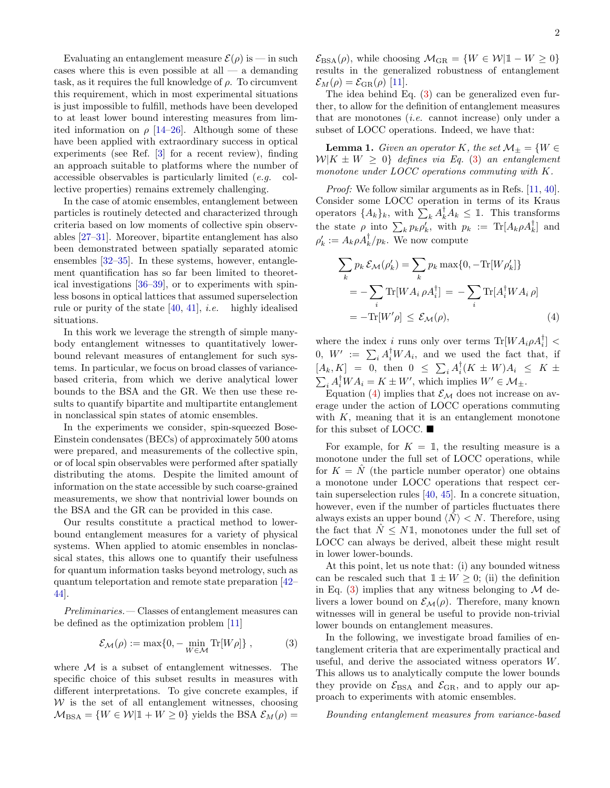Evaluating an entanglement measure  $\mathcal{E}(\rho)$  is — in such cases where this is even possible at all  $-$  a demanding task, as it requires the full knowledge of  $\rho$ . To circumvent this requirement, which in most experimental situations is just impossible to fulfill, methods have been developed to at least lower bound interesting measures from limited information on  $\rho$  [\[14](#page-5-13)[–26\]](#page-5-14). Although some of these have been applied with extraordinary success in optical experiments (see Ref. [\[3\]](#page-5-3) for a recent review), finding an approach suitable to platforms where the number of accessible observables is particularly limited (e.g. collective properties) remains extremely challenging.

In the case of atomic ensembles, entanglement between particles is routinely detected and characterized through criteria based on low moments of collective spin observables [\[27–](#page-5-15)[31\]](#page-5-16). Moreover, bipartite entanglement has also been demonstrated between spatially separated atomic ensembles [\[32](#page-5-17)[–35\]](#page-6-0). In these systems, however, entanglement quantification has so far been limited to theoretical investigations [\[36](#page-6-1)[–39\]](#page-6-2), or to experiments with spinless bosons in optical lattices that assumed superselection rule or purity of the state  $[40, 41]$  $[40, 41]$  $[40, 41]$ , *i.e.* highly idealised situations.

In this work we leverage the strength of simple manybody entanglement witnesses to quantitatively lowerbound relevant measures of entanglement for such systems. In particular, we focus on broad classes of variancebased criteria, from which we derive analytical lower bounds to the BSA and the GR. We then use these results to quantify bipartite and multipartite entanglement in nonclassical spin states of atomic ensembles.

In the experiments we consider, spin-squeezed Bose-Einstein condensates (BECs) of approximately 500 atoms were prepared, and measurements of the collective spin, or of local spin observables were performed after spatially distributing the atoms. Despite the limited amount of information on the state accessible by such coarse-grained measurements, we show that nontrivial lower bounds on the BSA and the GR can be provided in this case.

Our results constitute a practical method to lowerbound entanglement measures for a variety of physical systems. When applied to atomic ensembles in nonclassical states, this allows one to quantify their usefulness for quantum information tasks beyond metrology, such as quantum teleportation and remote state preparation [\[42–](#page-6-5) [44\]](#page-6-6).

Preliminaries.— Classes of entanglement measures can be defined as the optimization problem [\[11\]](#page-5-11)

<span id="page-1-0"></span>
$$
\mathcal{E}_{\mathcal{M}}(\rho) := \max\{0, -\min_{W \in \mathcal{M}} \text{Tr}[W\rho]\},\tag{3}
$$

where  $M$  is a subset of entanglement witnesses. The specific choice of this subset results in measures with different interpretations. To give concrete examples, if  $W$  is the set of all entanglement witnesses, choosing  $M_{BSA} = \{W \in \mathcal{W} | \mathbb{1} + W \geq 0\}$  yields the BSA  $\mathcal{E}_M(\rho) =$ 

 $\mathcal{E}_{BSA}(\rho)$ , while choosing  $\mathcal{M}_{GR} = \{W \in \mathcal{W} | \mathbb{1} - W \geq 0\}$ results in the generalized robustness of entanglement  $\mathcal{E}_M(\rho) = \mathcal{E}_{\text{GR}}(\rho)$  [\[11\]](#page-5-11).

The idea behind Eq. [\(3\)](#page-1-0) can be generalized even further, to allow for the definition of entanglement measures that are monotones (i.e. cannot increase) only under a subset of LOCC operations. Indeed, we have that:

**Lemma 1.** Given an operator K, the set  $\mathcal{M}_{\pm} = \{W \in$  $W|K \pm W \geq 0$  defines via Eq. [\(3\)](#page-1-0) an entanglement monotone under LOCC operations commuting with K.

Proof: We follow similar arguments as in Refs. [\[11,](#page-5-11) [40\]](#page-6-3). Consider some LOCC operation in terms of its Kraus operators  $\{A_k\}_k$ , with  $\sum_k A_k^{\dagger} A_k \leq \mathbb{1}$ . This transforms the state  $\rho$  into  $\sum_k p_k \rho'_k$ , with  $p_k := \text{Tr}[A_k \rho A_k^{\dagger}]$  and  $\rho'_{k} := A_{k} \rho A_{k}^{\dagger}/p_{k}$ . We now compute

<span id="page-1-1"></span>
$$
\sum_{k} p_{k} \mathcal{E}_{\mathcal{M}}(\rho'_{k}) = \sum_{k} p_{k} \max\{0, -\text{Tr}[W\rho'_{k}]\}
$$

$$
= -\sum_{i} \text{Tr}[WA_{i} \rho A_{i}^{\dagger}] = -\sum_{i} \text{Tr}[A_{i}^{\dagger} WA_{i} \rho]
$$

$$
= -\text{Tr}[W'\rho] \le \mathcal{E}_{\mathcal{M}}(\rho), \tag{4}
$$

where the index i runs only over terms  $\text{Tr}[W A_i \rho A_i^{\dagger}]$  < 0,  $W' := \sum_i A_i^{\dagger} W A_i$ , and we used the fact that, if  $[A_k, K] = 0$ , then  $0 \le \sum_i A_i^{\dagger} (K \pm W) A_i \le K \pm \frac{1}{2}$  $\sum_i A_i^{\dagger} W A_i = K \pm W'$ , which implies  $W' \in \mathcal{M}_{\pm}$ .

Equation [\(4\)](#page-1-1) implies that  $\mathcal{E}_{\mathcal{M}}$  does not increase on average under the action of LOCC operations commuting with  $K$ , meaning that it is an entanglement monotone for this subset of LOCC.  $\blacksquare$ 

For example, for  $K = 1$ , the resulting measure is a monotone under the full set of LOCC operations, while for  $K = \hat{N}$  (the particle number operator) one obtains a monotone under LOCC operations that respect certain superselection rules [\[40,](#page-6-3) [45\]](#page-6-7). In a concrete situation, however, even if the number of particles fluctuates there always exists an upper bound  $\langle N \rangle < N$ . Therefore, using the fact that  $N \leq N1$ , monotones under the full set of LOCC can always be derived, albeit these might result in lower lower-bounds.

At this point, let us note that: (i) any bounded witness can be rescaled such that  $1 \pm W \geq 0$ ; (ii) the definition in Eq. [\(3\)](#page-1-0) implies that any witness belonging to  $\mathcal M$  delivers a lower bound on  $\mathcal{E}_{\mathcal{M}}(\rho)$ . Therefore, many known witnesses will in general be useful to provide non-trivial lower bounds on entanglement measures.

In the following, we investigate broad families of entanglement criteria that are experimentally practical and useful, and derive the associated witness operators W. This allows us to analytically compute the lower bounds they provide on  $\mathcal{E}_{BSA}$  and  $\mathcal{E}_{GB}$ , and to apply our approach to experiments with atomic ensembles.

Bounding entanglement measures from variance-based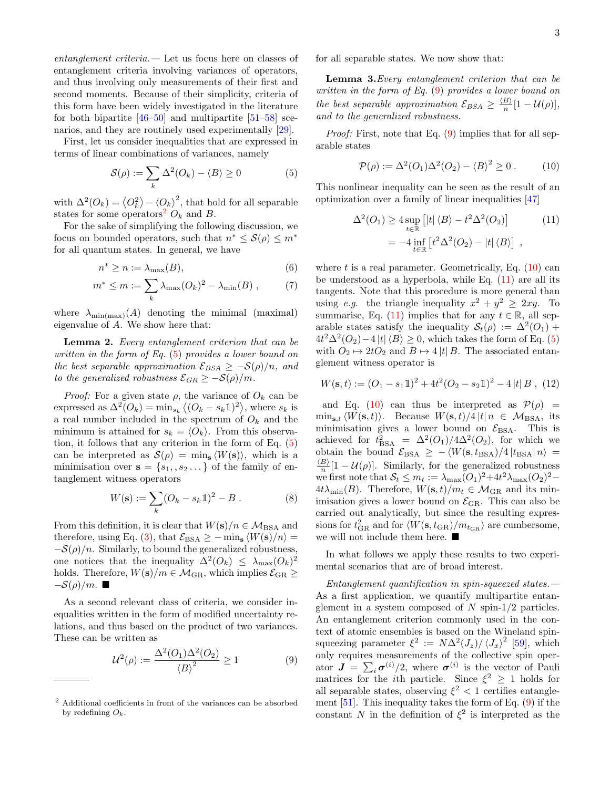entanglement criteria.— Let us focus here on classes of entanglement criteria involving variances of operators, and thus involving only measurements of their first and second moments. Because of their simplicity, criteria of this form have been widely investigated in the literature for both bipartite [\[46](#page-6-8)[–50\]](#page-6-9) and multipartite [\[51–](#page-6-10)[58\]](#page-6-11) scenarios, and they are routinely used experimentally [\[29\]](#page-5-18).

First, let us consider inequalities that are expressed in terms of linear combinations of variances, namely

<span id="page-2-1"></span>
$$
\mathcal{S}(\rho) := \sum_{k} \Delta^2(O_k) - \langle B \rangle \ge 0 \tag{5}
$$

with  $\Delta^2(O_k) = \langle O_k^2 \rangle - \langle O_k \rangle^2$ , that hold for all separable states for some operators<sup>[2](#page-2-0)</sup>  $O_k$  and B.

For the sake of simplifying the following discussion, we focus on bounded operators, such that  $n^* \leq \mathcal{S}(\rho) \leq m^*$ for all quantum states. In general, we have

$$
n^* \ge n := \lambda_{\max}(B),\tag{6}
$$

$$
m^* \le m := \sum_k \lambda_{\max}(O_k)^2 - \lambda_{\min}(B) , \qquad (7)
$$

where  $\lambda_{\min(\max)}(A)$  denoting the minimal (maximal) eigenvalue of A. We show here that:

Lemma 2. Every entanglement criterion that can be written in the form of Eq. [\(5\)](#page-2-1) provides a lower bound on the best separable approximation  $\mathcal{E}_{BSA} \geq -\mathcal{S}(\rho)/n$ , and to the generalized robustness  $\mathcal{E}_{GR} \geq -\mathcal{S}(\rho)/m$ .

*Proof:* For a given state  $\rho$ , the variance of  $O_k$  can be expressed as  $\Delta^2(O_k) = \min_{s_k} \langle (O_k - s_k \mathbb{1})^2 \rangle$ , where  $s_k$  is a real number included in the spectrum of  $O_k$  and the minimum is attained for  $s_k = \langle O_k \rangle$ . From this observation, it follows that any criterion in the form of Eq. [\(5\)](#page-2-1) can be interpreted as  $\mathcal{S}(\rho) = \min_{\mathbf{s}} \langle W(\mathbf{s}) \rangle$ , which is a minimisation over  $\mathbf{s} = \{s_1, s_2 \dots\}$  of the family of entanglement witness operators

$$
W(\mathbf{s}) := \sum_{k} (O_k - s_k 1)^2 - B . \tag{8}
$$

From this definition, it is clear that  $W(s)/n \in \mathcal{M}_{BSA}$  and therefore, using Eq. [\(3\)](#page-1-0), that  $\mathcal{E}_{BSA} \ge - \min_{s} \langle W(s)/n \rangle =$  $-\mathcal{S}(\rho)/n$ . Similarly, to bound the generalized robustness, one notices that the inequality  $\Delta^2(O_k) \leq \lambda_{\max}(O_k)^2$ holds. Therefore,  $W(s)/m \in \mathcal{M}_{\rm GR}$ , which implies  $\mathcal{E}_{\rm GR} \geq$  $-\mathcal{S}(\rho)/m$ .

As a second relevant class of criteria, we consider inequalities written in the form of modified uncertainty relations, and thus based on the product of two variances. These can be written as

<span id="page-2-2"></span>
$$
\mathcal{U}^2(\rho) := \frac{\Delta^2(O_1)\Delta^2(O_2)}{\langle B \rangle^2} \ge 1\tag{9}
$$

for all separable states. We now show that:

Lemma 3.Every entanglement criterion that can be written in the form of Eq. [\(9\)](#page-2-2) provides a lower bound on the best separable approximation  $\mathcal{E}_{BSA} \geq \frac{\langle B \rangle}{n}$  $\frac{B}{n}[1-\mathcal{U}(\rho)],$ and to the generalized robustness.

Proof: First, note that Eq. [\(9\)](#page-2-2) implies that for all separable states

<span id="page-2-4"></span><span id="page-2-3"></span>
$$
\mathcal{P}(\rho) := \Delta^2(O_1)\Delta^2(O_2) - \langle B \rangle^2 \ge 0.
$$
 (10)

This nonlinear inequality can be seen as the result of an optimization over a family of linear inequalities [\[47\]](#page-6-12)

$$
\Delta^{2}(O_{1}) \ge 4 \sup_{t \in \mathbb{R}} \left[ |t| \langle B \rangle - t^{2} \Delta^{2}(O_{2}) \right]
$$
\n
$$
= -4 \inf_{t \in \mathbb{R}} \left[ t^{2} \Delta^{2}(O_{2}) - |t| \langle B \rangle \right] , \qquad (11)
$$

where t is a real parameter. Geometrically, Eq.  $(10)$  can be understood as a hyperbola, while Eq.  $(11)$  are all its tangents. Note that this procedure is more general than using e.g. the triangle inequality  $x^2 + y^2 \geq 2xy$ . To summarise, Eq. [\(11\)](#page-2-4) implies that for any  $t \in \mathbb{R}$ , all separable states satisfy the inequality  $S_t(\rho) := \Delta^2(O_1) +$  $4t^2\Delta^2(O_2)-4|t|\langle B\rangle\geq 0$ , which takes the form of Eq. [\(5\)](#page-2-1) with  $O_2 \mapsto 2tO_2$  and  $B \mapsto 4 |t| B$ . The associated entanglement witness operator is

$$
W(\mathbf{s},t) := (O_1 - s_1 1)^2 + 4t^2 (O_2 - s_2 1)^2 - 4|t| B , (12)
$$

and Eq. [\(10\)](#page-2-3) can thus be interpreted as  $\mathcal{P}(\rho)$  =  $\min_{s,t} \langle W(s, t) \rangle$ . Because  $W(s, t)/4 |t| n \in \mathcal{M}_{BSA}$ , its minimisation gives a lower bound on  $\mathcal{E}_{BSA}$ . This is achieved for  $t_{\text{BSA}}^2 = \Delta^2(O_1)/4\Delta^2(O_2)$ , for which we obtain the bound  $\mathcal{E}_{\text{BSA}} \geq -\langle W(\mathbf{s}, t_{\text{BSA}})/4 | t_{\text{BSA}} | n \rangle =$  $\langle B \rangle$  $\frac{B}{n}[1-\mathcal{U}(\rho)].$  Similarly, for the generalized robustness we first note that  $S_t \leq m_t := \lambda_{\max}(O_1)^2 + 4t^2\lambda_{\max}(O_2)^2$  $4t\lambda_{\min}(B)$ . Therefore,  $W(\mathbf{s}, t)/m_t \in \mathcal{M}_{\text{GR}}$  and its minimisation gives a lower bound on  $\mathcal{E}_{\text{GR}}$ . This can also be carried out analytically, but since the resulting expressions for  $t_{\rm GR}^2$  and for  $\langle W({\bf s}, t_{\rm GR})/m_{t_{\rm GR}}\rangle$  are cumbersome, we will not include them here.  $\blacksquare$ 

In what follows we apply these results to two experimental scenarios that are of broad interest.

Entanglement quantification in spin-squeezed states.— As a first application, we quantify multipartite entanglement in a system composed of  $N$  spin-1/2 particles. An entanglement criterion commonly used in the context of atomic ensembles is based on the Wineland spinsqueezing parameter  $\xi^2 := N\Delta^2(J_z)/\langle J_x \rangle^2$  [\[59\]](#page-6-13), which only requires measurements of the collective spin operator  $J = \sum_i \sigma^{(i)}/2$ , where  $\sigma^{(i)}$  is the vector of Pauli matrices for the *i*th particle. Since  $\xi^2 \geq 1$  holds for all separable states, observing  $\xi^2$  < 1 certifies entanglement [\[51\]](#page-6-10). This inequality takes the form of Eq. [\(9\)](#page-2-2) if the constant N in the definition of  $\xi^2$  is interpreted as the

<span id="page-2-0"></span><sup>2</sup> Additional coefficients in front of the variances can be absorbed by redefining  $O_k$ .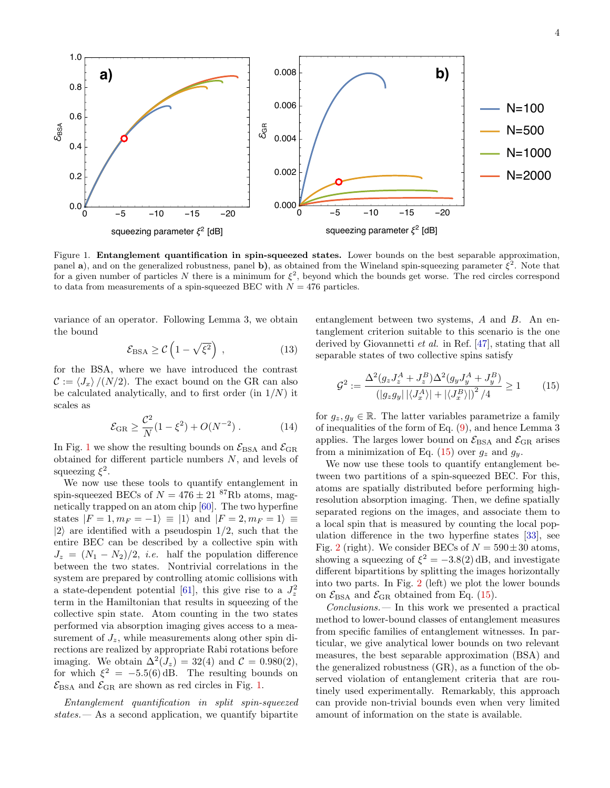

<span id="page-3-0"></span>Figure 1. Entanglement quantification in spin-squeezed states. Lower bounds on the best separable approximation, panel a), and on the generalized robustness, panel b), as obtained from the Wineland spin-squeezing parameter  $\xi^2$ . Note that for a given number of particles N there is a minimum for  $\xi^2$ , beyond which the bounds get worse. The red circles correspond to data from measurements of a spin-squeezed BEC with  $N = 476$  particles.

variance of an operator. Following Lemma 3, we obtain the bound

$$
\mathcal{E}_{\text{BSA}} \ge \mathcal{C} \left( 1 - \sqrt{\xi^2} \right) , \qquad (13)
$$

for the BSA, where we have introduced the contrast  $\mathcal{C} := \langle J_x \rangle / (N/2)$ . The exact bound on the GR can also be calculated analytically, and to first order (in  $1/N$ ) it scales as

$$
\mathcal{E}_{\rm GR} \ge \frac{\mathcal{C}^2}{N} (1 - \xi^2) + O(N^{-2}) \,. \tag{14}
$$

In Fig. [1](#page-3-0) we show the resulting bounds on  $\mathcal{E}_{\rm BSA}$  and  $\mathcal{E}_{\rm GR}$ obtained for different particle numbers N, and levels of squeezing  $\xi^2$ .

We now use these tools to quantify entanglement in spin-squeezed BECs of  $N = 476 \pm 21$  <sup>87</sup>Rb atoms, magnetically trapped on an atom chip [\[60\]](#page-6-14). The two hyperfine states  $|F = 1, m_F = -1\rangle \equiv |1\rangle$  and  $|F = 2, m_F = 1\rangle \equiv$  $|2\rangle$  are identified with a pseudospin 1/2, such that the entire BEC can be described by a collective spin with  $J_z = (N_1 - N_2)/2$ , *i.e.* half the population difference between the two states. Nontrivial correlations in the system are prepared by controlling atomic collisions with a state-dependent potential [\[61\]](#page-6-15), this give rise to a  $J_z^2$ term in the Hamiltonian that results in squeezing of the collective spin state. Atom counting in the two states performed via absorption imaging gives access to a measurement of  $J_z$ , while measurements along other spin directions are realized by appropriate Rabi rotations before imaging. We obtain  $\Delta^2(J_z) = 32(4)$  and  $C = 0.980(2)$ , for which  $\xi^2 = -5.5(6)$  dB. The resulting bounds on  $\mathcal{E}_{\text{BSA}}$  and  $\mathcal{E}_{\text{GR}}$  are shown as red circles in Fig. [1.](#page-3-0)

Entanglement quantification in split spin-squeezed  $states$   $\longrightarrow$  As a second application, we quantify bipartite

entanglement between two systems, A and B. An entanglement criterion suitable to this scenario is the one derived by Giovannetti et al. in Ref. [\[47\]](#page-6-12), stating that all separable states of two collective spins satisfy

<span id="page-3-1"></span>
$$
\mathcal{G}^2 := \frac{\Delta^2 (g_z J_z^A + J_z^B) \Delta^2 (g_y J_y^A + J_y^B)}{(|g_z g_y| |\langle J_x^A \rangle| + |\langle J_x^B \rangle|)^2 / 4} \ge 1
$$
 (15)

for  $g_z, g_y \in \mathbb{R}$ . The latter variables parametrize a family of inequalities of the form of Eq. [\(9\)](#page-2-2), and hence Lemma 3 applies. The larges lower bound on  $\mathcal{E}_{BSA}$  and  $\mathcal{E}_{GR}$  arises from a minimization of Eq. [\(15\)](#page-3-1) over  $g_z$  and  $g_y$ .

We now use these tools to quantify entanglement between two partitions of a spin-squeezed BEC. For this, atoms are spatially distributed before performing highresolution absorption imaging. Then, we define spatially separated regions on the images, and associate them to a local spin that is measured by counting the local population difference in the two hyperfine states [\[33\]](#page-5-19), see Fig. [2](#page-4-0) (right). We consider BECs of  $N = 590 \pm 30$  atoms, showing a squeezing of  $\xi^2 = -3.8(2)$  dB, and investigate different bipartitions by splitting the images horizontally into two parts. In Fig. [2](#page-4-0) (left) we plot the lower bounds on  $\mathcal{E}_{BSA}$  and  $\mathcal{E}_{GR}$  obtained from Eq. [\(15\)](#page-3-1).

Conclusions.— In this work we presented a practical method to lower-bound classes of entanglement measures from specific families of entanglement witnesses. In particular, we give analytical lower bounds on two relevant measures, the best separable approximation (BSA) and the generalized robustness (GR), as a function of the observed violation of entanglement criteria that are routinely used experimentally. Remarkably, this approach can provide non-trivial bounds even when very limited amount of information on the state is available.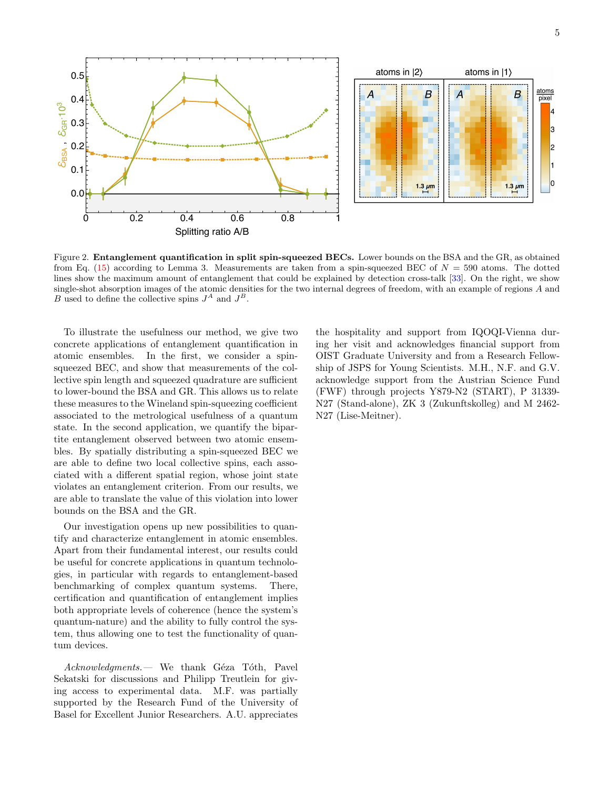

<span id="page-4-0"></span>Figure 2. Entanglement quantification in split spin-squeezed BECs. Lower bounds on the BSA and the GR, as obtained from Eq. [\(15\)](#page-3-1) according to Lemma 3. Measurements are taken from a spin-squeezed BEC of  $N = 590$  atoms. The dotted lines show the maximum amount of entanglement that could be explained by detection cross-talk [\[33\]](#page-5-19). On the right, we show single-shot absorption images of the atomic densities for the two internal degrees of freedom, with an example of regions A and B used to define the collective spins  $J^A$  and  $J^B$ .

To illustrate the usefulness our method, we give two concrete applications of entanglement quantification in atomic ensembles. In the first, we consider a spinsqueezed BEC, and show that measurements of the collective spin length and squeezed quadrature are sufficient to lower-bound the BSA and GR. This allows us to relate these measures to the Wineland spin-squeezing coefficient associated to the metrological usefulness of a quantum state. In the second application, we quantify the bipartite entanglement observed between two atomic ensembles. By spatially distributing a spin-squeezed BEC we are able to define two local collective spins, each associated with a different spatial region, whose joint state violates an entanglement criterion. From our results, we are able to translate the value of this violation into lower bounds on the BSA and the GR.

Our investigation opens up new possibilities to quantify and characterize entanglement in atomic ensembles. Apart from their fundamental interest, our results could be useful for concrete applications in quantum technologies, in particular with regards to entanglement-based benchmarking of complex quantum systems. There, certification and quantification of entanglement implies both appropriate levels of coherence (hence the system's quantum-nature) and the ability to fully control the system, thus allowing one to test the functionality of quantum devices.

 $Acknowledgments.$  We thank Géza Tóth, Pavel Sekatski for discussions and Philipp Treutlein for giving access to experimental data. M.F. was partially supported by the Research Fund of the University of Basel for Excellent Junior Researchers. A.U. appreciates

the hospitality and support from IQOQI-Vienna during her visit and acknowledges financial support from OIST Graduate University and from a Research Fellowship of JSPS for Young Scientists. M.H., N.F. and G.V. acknowledge support from the Austrian Science Fund (FWF) through projects Y879-N2 (START), P 31339- N27 (Stand-alone), ZK 3 (Zukunftskolleg) and M 2462- N27 (Lise-Meitner).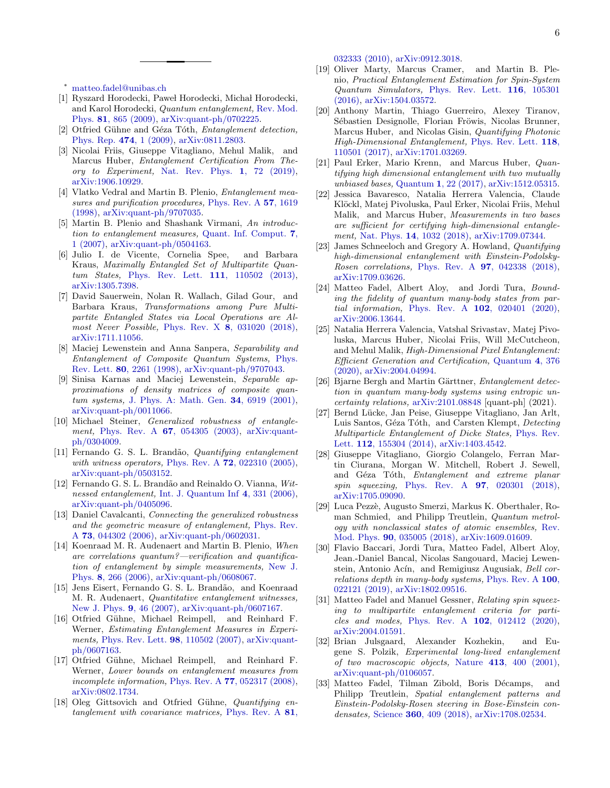<span id="page-5-0"></span><sup>∗</sup> [matteo.fadel@unibas.ch](mailto:matteo.fadel@unibas.ch)

- <span id="page-5-1"></span>[1] Ryszard Horodecki, Paweł Horodecki, Michał Horodecki, and Karol Horodecki, Quantum entanglement, [Rev. Mod.](http://dx.doi.org/10.1103/RevModPhys.81.865) Phys. 81[, 865 \(2009\),](http://dx.doi.org/10.1103/RevModPhys.81.865) [arXiv:quant-ph/0702225.](http://arxiv.org/abs/quant-ph/0702225)
- <span id="page-5-2"></span>[2] Otfried Gühne and Géza Tóth, Entanglement detection, [Phys. Rep.](http://dx.doi.org/10.1016/j.physrep.2009.02.004) 474, 1 (2009), [arXiv:0811.2803.](http://arxiv.org/abs/0811.2803)
- <span id="page-5-3"></span>[3] Nicolai Friis, Giuseppe Vitagliano, Mehul Malik, and Marcus Huber, Entanglement Certification From Theory to Experiment, [Nat. Rev. Phys.](http://dx.doi.org/10.1038/s42254-018-0003-5) 1, 72 (2019), [arXiv:1906.10929.](http://arxiv.org/abs/1906.10929)
- <span id="page-5-4"></span>[4] Vlatko Vedral and Martin B. Plenio, Entanglement mea-sures and purification procedures, [Phys. Rev. A](http://dx.doi.org/10.1103/PhysRevA.57.1619) 57, 1619 [\(1998\),](http://dx.doi.org/10.1103/PhysRevA.57.1619) [arXiv:quant-ph/9707035.](http://arxiv.org/abs/quant-ph/9707035)
- <span id="page-5-5"></span>[5] Martin B. Plenio and Shashank Virmani, An introduction to entanglement measures, [Quant. Inf. Comput.](http://www.rintonpress.com/journals/qiconline.html#v7n12) 7, [1 \(2007\),](http://www.rintonpress.com/journals/qiconline.html#v7n12) [arXiv:quant-ph/0504163.](http://arxiv.org/abs/quant-ph/0504163)
- <span id="page-5-6"></span>[6] Julio I. de Vicente, Cornelia Spee, and Barbara Kraus, Maximally Entangled Set of Multipartite Quantum States, [Phys. Rev. Lett.](http://dx.doi.org/ 10.1103/PhysRevLett.111.110502) 111, 110502 (2013), [arXiv:1305.7398.](http://arxiv.org/abs/1305.7398)
- <span id="page-5-7"></span>[7] David Sauerwein, Nolan R. Wallach, Gilad Gour, and Barbara Kraus, Transformations among Pure Multipartite Entangled States via Local Operations are Al-most Never Possible, Phys. Rev. X 8[, 031020 \(2018\),](http://dx.doi.org/10.1103/PhysRevX.8.031020) [arXiv:1711.11056.](http://arxiv.org/abs/1711.11056)
- <span id="page-5-8"></span>[8] Maciej Lewenstein and Anna Sanpera, Separability and Entanglement of Composite Quantum Systems, [Phys.](http://dx.doi.org/ 10.1103/PhysRevLett.80.2261) Rev. Lett. 80[, 2261 \(1998\),](http://dx.doi.org/ 10.1103/PhysRevLett.80.2261) [arXiv:quant-ph/9707043.](http://arxiv.org/abs/quant-ph/9707043)
- <span id="page-5-9"></span>[9] Sinisa Karnas and Maciej Lewenstein, Separable approximations of density matrices of composite quan-tum systems, [J. Phys. A: Math. Gen.](http://dx.doi.org/ 10.1088/0305-4470/34/35/318) **34**, 6919 (2001), [arXiv:quant-ph/0011066.](http://arxiv.org/abs/quant-ph/0011066)
- <span id="page-5-10"></span>[10] Michael Steiner, Generalized robustness of entangle-ment, Phys. Rev. A 67[, 054305 \(2003\),](http://dx.doi.org/10.1103/PhysRevA.67.054305) [arXiv:quant](http://arxiv.org/abs/quant-ph/0304009)[ph/0304009.](http://arxiv.org/abs/quant-ph/0304009)
- <span id="page-5-11"></span>[11] Fernando G. S. L. Brandão, Quantifying entanglement with witness operators, Phys. Rev. A **72**[, 022310 \(2005\),](http://dx.doi.org/ 10.1103/PhysRevA.72.022310) [arXiv:quant-ph/0503152.](http://arxiv.org/abs/quant-ph/0503152)
- [12] Fernando G. S. L. Brandão and Reinaldo O. Vianna, Witnessed entanglement, [Int. J. Quantum Inf](http://dx.doi.org/10.1142/S0219749906001803) 4, 331 (2006), [arXiv:quant-ph/0405096.](http://arxiv.org/abs/quant-ph/0405096)
- <span id="page-5-12"></span>[13] Daniel Cavalcanti, Connecting the generalized robustness and the geometric measure of entanglement, [Phys. Rev.](http://dx.doi.org/10.1103/PhysRevA.73.044302) A 73[, 044302 \(2006\),](http://dx.doi.org/10.1103/PhysRevA.73.044302) [arXiv:quant-ph/0602031.](http://arxiv.org/abs/quant-ph/0602031)
- <span id="page-5-13"></span>[14] Koenraad M. R. Audenaert and Martin B. Plenio, When are correlations quantum?—verification and quantification of entanglement by simple measurements, [New J.](http://dx.doi.org/ 10.1088/1367-2630/8/11/266) Phys. 8[, 266 \(2006\),](http://dx.doi.org/ 10.1088/1367-2630/8/11/266) [arXiv:quant-ph/0608067.](http://arxiv.org/abs/quant-ph/0608067)
- [15] Jens Eisert, Fernando G. S. L. Brandão, and Koenraad M. R. Audenaert, Quantitative entanglement witnesses, [New J. Phys.](http://dx.doi.org/10.1088/1367-2630/9/3/046) 9, 46 (2007), [arXiv:quant-ph/0607167.](http://arxiv.org/abs/quant-ph/0607167)
- [16] Otfried Gühne, Michael Reimpell, and Reinhard F. Werner, Estimating Entanglement Measures in Experi-ments, [Phys. Rev. Lett.](http://dx.doi.org/ 10.1103/PhysRevLett.98.110502) **98**, 110502 (2007), [arXiv:quant](http://arxiv.org/abs/quant-ph/0607163)[ph/0607163.](http://arxiv.org/abs/quant-ph/0607163)
- [17] Otfried Gühne, Michael Reimpell, and Reinhard F. Werner, Lower bounds on entanglement measures from incomplete information, Phys. Rev. A 77[, 052317 \(2008\),](http://dx.doi.org/ 10.1103/PhysRevA.77.052317) [arXiv:0802.1734.](http://arxiv.org/abs/0802.1734)
- [18] Oleg Gittsovich and Otfried Gühne, Quantifying entanglement with covariance matrices, [Phys. Rev. A](http://dx.doi.org/10.1103/PhysRevA.81.032333) 81,

[032333 \(2010\),](http://dx.doi.org/10.1103/PhysRevA.81.032333) [arXiv:0912.3018.](http://arxiv.org/abs/0912.3018)

- [19] Oliver Marty, Marcus Cramer, and Martin B. Plenio, Practical Entanglement Estimation for Spin-System Quantum Simulators, [Phys. Rev. Lett.](http://dx.doi.org/ 10.1103/PhysRevLett.116.105301) 116, 105301 [\(2016\),](http://dx.doi.org/ 10.1103/PhysRevLett.116.105301) [arXiv:1504.03572.](http://arxiv.org/abs/1504.03572)
- [20] Anthony Martin, Thiago Guerreiro, Alexey Tiranov, Sébastien Designolle, Florian Fröwis, Nicolas Brunner, Marcus Huber, and Nicolas Gisin, Quantifying Photonic High-Dimensional Entanglement, [Phys. Rev. Lett.](http://dx.doi.org/10.1103/PhysRevLett.118.110501) 118, [110501 \(2017\),](http://dx.doi.org/10.1103/PhysRevLett.118.110501) [arXiv:1701.03269.](http://arxiv.org/abs/1701.03269)
- [21] Paul Erker, Mario Krenn, and Marcus Huber, Quantifying high dimensional entanglement with two mutually unbiased bases, Quantum 1[, 22 \(2017\),](http://dx.doi.org/ 10.22331/q-2017-07-28-22) [arXiv:1512.05315.](http://arxiv.org/abs/1512.05315)
- [22] Jessica Bavaresco, Natalia Herrera Valencia, Claude Klöckl, Matej Pivoluska, Paul Erker, Nicolai Friis, Mehul Malik, and Marcus Huber, Measurements in two bases are sufficient for certifying high-dimensional entanglement, Nat. Phys. 14[, 1032 \(2018\),](http://dx.doi.org/10.1038/s41567-018-0203-z) [arXiv:1709.07344.](http://arxiv.org/abs/1709.07344)
- [23] James Schneeloch and Gregory A. Howland, Quantifying high-dimensional entanglement with Einstein-Podolsky-Rosen correlations, Phys. Rev. A 97[, 042338 \(2018\),](http://dx.doi.org/10.1103/PhysRevA.97.042338) [arXiv:1709.03626.](http://arxiv.org/abs/1709.03626)
- [24] Matteo Fadel, Albert Aloy, and Jordi Tura, Bounding the fidelity of quantum many-body states from partial information, Phys. Rev. A 102[, 020401 \(2020\),](http://dx.doi.org/ 10.1103/PhysRevA.102.020401) [arXiv:2006.13644.](http://arxiv.org/abs/2006.13644)
- [25] Natalia Herrera Valencia, Vatshal Srivastav, Matej Pivoluska, Marcus Huber, Nicolai Friis, Will McCutcheon, and Mehul Malik, High-Dimensional Pixel Entanglement: Efficient Generation and Certification, [Quantum](http://dx.doi.org/10.22331/q-2020-12-24-376) 4, 376 [\(2020\),](http://dx.doi.org/10.22331/q-2020-12-24-376) [arXiv:2004.04994.](http://arxiv.org/abs/2004.04994)
- <span id="page-5-14"></span>[26] Bjarne Bergh and Martin Gärttner, *Entanglement detec*tion in quantum many-body systems using entropic uncertainty relations, [arXiv:2101.08848](http://arxiv.org/abs/2101.08848) [quant-ph] (2021).
- <span id="page-5-15"></span>[27] Bernd Lücke, Jan Peise, Giuseppe Vitagliano, Jan Arlt, Luis Santos, Géza Tóth, and Carsten Klempt, Detecting Multiparticle Entanglement of Dicke States, [Phys. Rev.](http://dx.doi.org/10.1103/PhysRevLett.112.155304) Lett. 112[, 155304 \(2014\),](http://dx.doi.org/10.1103/PhysRevLett.112.155304) [arXiv:1403.4542.](http://arxiv.org/abs/1403.4542)
- [28] Giuseppe Vitagliano, Giorgio Colangelo, Ferran Martin Ciurana, Morgan W. Mitchell, Robert J. Sewell, and Géza Tóth, Entanglement and extreme planar spin squeezing, Phys. Rev. A **97**[, 020301 \(2018\),](http://dx.doi.org/ 10.1103/PhysRevA.97.020301) [arXiv:1705.09090.](http://arxiv.org/abs/1705.09090)
- <span id="page-5-18"></span>[29] Luca Pezzè, Augusto Smerzi, Markus K. Oberthaler, Roman Schmied, and Philipp Treutlein, Quantum metrology with nonclassical states of atomic ensembles, [Rev.](http://dx.doi.org/ 10.1103/RevModPhys.90.035005) Mod. Phys. 90[, 035005 \(2018\),](http://dx.doi.org/ 10.1103/RevModPhys.90.035005) [arXiv:1609.01609.](http://arxiv.org/abs/1609.01609)
- [30] Flavio Baccari, Jordi Tura, Matteo Fadel, Albert Aloy, Jean.-Daniel Bancal, Nicolas Sangouard, Maciej Lewenstein, Antonio Acín, and Remigiusz Augusiak, Bell correlations depth in many-body systems, [Phys. Rev. A](http://dx.doi.org/10.1103/PhysRevA.100.022121) 100, [022121 \(2019\),](http://dx.doi.org/10.1103/PhysRevA.100.022121) [arXiv:1802.09516.](http://arxiv.org/abs/1802.09516)
- <span id="page-5-16"></span>[31] Matteo Fadel and Manuel Gessner, Relating spin squeezing to multipartite entanglement criteria for particles and modes, Phys. Rev. A 102[, 012412 \(2020\),](http://dx.doi.org/10.1103/PhysRevA.102.012412) [arXiv:2004.01591.](http://arxiv.org/abs/2004.01591)
- <span id="page-5-17"></span>[32] Brian Julsgaard, Alexander Kozhekin, and Eugene S. Polzik, Experimental long-lived entanglement of two macroscopic objects, Nature 413[, 400 \(2001\),](http://dx.doi.org/ 10.1038/35096524) [arXiv:quant-ph/0106057.](http://arxiv.org/abs/quant-ph/0106057)
- <span id="page-5-19"></span>[33] Matteo Fadel, Tilman Zibold, Boris Décamps, and Philipp Treutlein, Spatial entanglement patterns and Einstein-Podolsky-Rosen steering in Bose-Einstein condensates, Science 360[, 409 \(2018\),](http://dx.doi.org/10.1126/science.aao1850) [arXiv:1708.02534.](http://arxiv.org/abs/1708.02534)